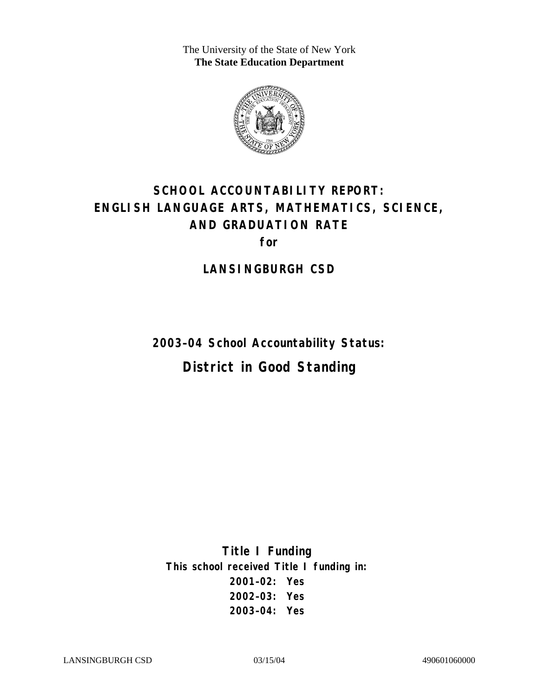The University of the State of New York **The State Education Department** 



# **SCHOOL ACCOUNTABILITY REPORT: ENGLISH LANGUAGE ARTS, MATHEMATICS, SCIENCE, AND GRADUATION RATE for**

**LANSINGBURGH CSD** 

**2003–04 School Accountability Status: District in Good Standing** 

**Title I Funding This school received Title I funding in: 2001–02: Yes 2002–03: Yes 2003–04: Yes**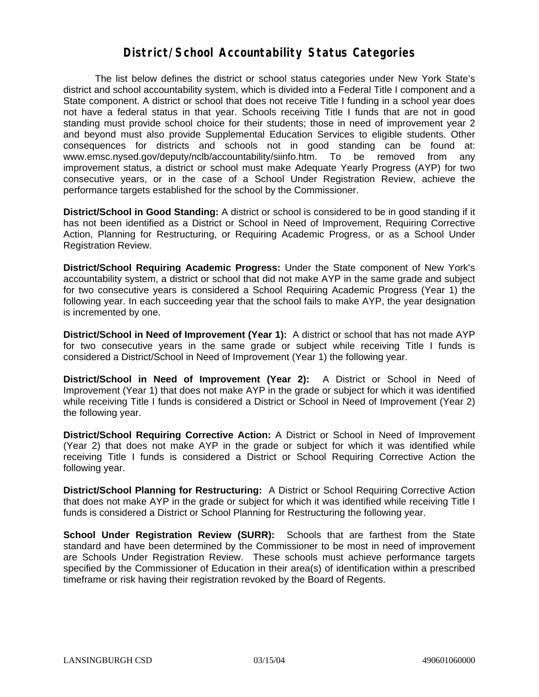#### **District/School Accountability Status Categories**

The list below defines the district or school status categories under New York State's district and school accountability system, which is divided into a Federal Title I component and a State component. A district or school that does not receive Title I funding in a school year does not have a federal status in that year. Schools receiving Title I funds that are not in good standing must provide school choice for their students; those in need of improvement year 2 and beyond must also provide Supplemental Education Services to eligible students. Other consequences for districts and schools not in good standing can be found at: www.emsc.nysed.gov/deputy/nclb/accountability/siinfo.htm. To be removed from any improvement status, a district or school must make Adequate Yearly Progress (AYP) for two consecutive years, or in the case of a School Under Registration Review, achieve the performance targets established for the school by the Commissioner.

**District/School in Good Standing:** A district or school is considered to be in good standing if it has not been identified as a District or School in Need of Improvement, Requiring Corrective Action, Planning for Restructuring, or Requiring Academic Progress, or as a School Under Registration Review.

**District/School Requiring Academic Progress:** Under the State component of New York's accountability system, a district or school that did not make AYP in the same grade and subject for two consecutive years is considered a School Requiring Academic Progress (Year 1) the following year. In each succeeding year that the school fails to make AYP, the year designation is incremented by one.

**District/School in Need of Improvement (Year 1):** A district or school that has not made AYP for two consecutive years in the same grade or subject while receiving Title I funds is considered a District/School in Need of Improvement (Year 1) the following year.

**District/School in Need of Improvement (Year 2):** A District or School in Need of Improvement (Year 1) that does not make AYP in the grade or subject for which it was identified while receiving Title I funds is considered a District or School in Need of Improvement (Year 2) the following year.

**District/School Requiring Corrective Action:** A District or School in Need of Improvement (Year 2) that does not make AYP in the grade or subject for which it was identified while receiving Title I funds is considered a District or School Requiring Corrective Action the following year.

**District/School Planning for Restructuring:** A District or School Requiring Corrective Action that does not make AYP in the grade or subject for which it was identified while receiving Title I funds is considered a District or School Planning for Restructuring the following year.

**School Under Registration Review (SURR):** Schools that are farthest from the State standard and have been determined by the Commissioner to be most in need of improvement are Schools Under Registration Review. These schools must achieve performance targets specified by the Commissioner of Education in their area(s) of identification within a prescribed timeframe or risk having their registration revoked by the Board of Regents.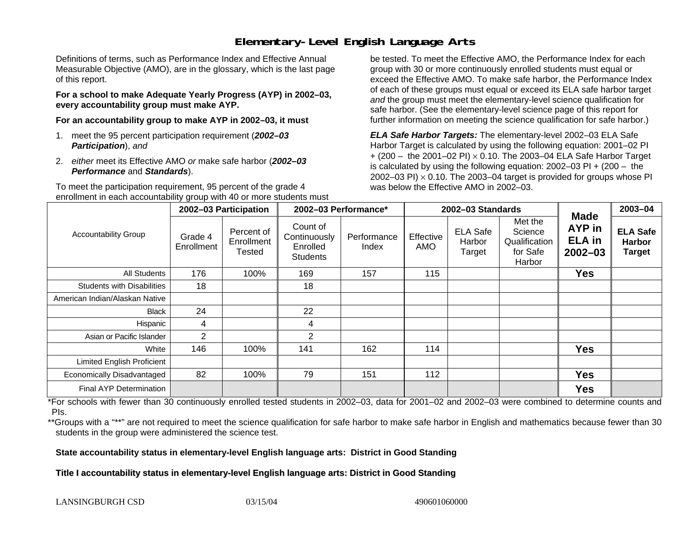## **Elementary-Level English Language Arts**

Definitions of terms, such as Performance Index and Effective Annual Measurable Objective (AMO), are in the glossary, which is the last page of this report.

**For a school to make Adequate Yearly Progress (AYP) in 2002–03, every accountability group must make AYP.** 

**For an accountability group to make AYP in 2002–03, it must** 

- 1. meet the 95 percent participation requirement (*2002–03 Participation*), *and*
- 2. *either* meet its Effective AMO *or* make safe harbor (*2002–03 Performance* and *Standards*).

To meet the participation requirement, 95 percent of the grade 4 enrollment in each accountability group with 40 or more students must

be tested. To meet the Effective AMO, the Performance Index for each group with 30 or more continuously enrolled students must equal or exceed the Effective AMO. To make safe harbor, the Performance Index of each of these groups must equal or exceed its ELA safe harbor target *and* the group must meet the elementary-level science qualification for safe harbor. (See the elementary-level science page of this report for further information on meeting the science qualification for safe harbor.)

*ELA Safe Harbor Targets:* The elementary-level 2002–03 ELA Safe Harbor Target is calculated by using the following equation: 2001–02 PI + (200 – the 2001–02 PI) <sup>×</sup> 0.10. The 2003–04 ELA Safe Harbor Target is calculated by using the following equation: 2002–03 PI + (200 – the 2002–03 PI)  $\times$  0.10. The 2003–04 target is provided for groups whose PI was below the Effective AMO in 2002–03.

|                                   | 2002-03 Participation |                                    | 2002-03 Performance*                                    |                      |                  | 2002-03 Standards                   |                                                           | 2003-04                                               |                                                   |
|-----------------------------------|-----------------------|------------------------------------|---------------------------------------------------------|----------------------|------------------|-------------------------------------|-----------------------------------------------------------|-------------------------------------------------------|---------------------------------------------------|
| <b>Accountability Group</b>       | Grade 4<br>Enrollment | Percent of<br>Enrollment<br>Tested | Count of<br>Continuously<br>Enrolled<br><b>Students</b> | Performance<br>Index | Effective<br>AMO | <b>ELA Safe</b><br>Harbor<br>Target | Met the<br>Science<br>Qualification<br>for Safe<br>Harbor | Made<br><b>AYP</b> in<br><b>ELA</b> in<br>$2002 - 03$ | <b>ELA Safe</b><br><b>Harbor</b><br><b>Target</b> |
| All Students                      | 176                   | 100%                               | 169                                                     | 157                  | 115              |                                     |                                                           | <b>Yes</b>                                            |                                                   |
| <b>Students with Disabilities</b> | 18                    |                                    | 18                                                      |                      |                  |                                     |                                                           |                                                       |                                                   |
| American Indian/Alaskan Native    |                       |                                    |                                                         |                      |                  |                                     |                                                           |                                                       |                                                   |
| Black                             | 24                    |                                    | 22                                                      |                      |                  |                                     |                                                           |                                                       |                                                   |
| Hispanic                          | 4                     |                                    | 4                                                       |                      |                  |                                     |                                                           |                                                       |                                                   |
| Asian or Pacific Islander         | 2                     |                                    | $\overline{2}$                                          |                      |                  |                                     |                                                           |                                                       |                                                   |
| White                             | 146                   | 100%                               | 141                                                     | 162                  | 114              |                                     |                                                           | <b>Yes</b>                                            |                                                   |
| <b>Limited English Proficient</b> |                       |                                    |                                                         |                      |                  |                                     |                                                           |                                                       |                                                   |
| Economically Disadvantaged        | 82                    | 100%                               | 79                                                      | 151                  | 112              |                                     |                                                           | <b>Yes</b>                                            |                                                   |
| Final AYP Determination           |                       |                                    |                                                         |                      |                  |                                     |                                                           | <b>Yes</b>                                            |                                                   |

\*For schools with fewer than 30 continuously enrolled tested students in 2002–03, data for 2001–02 and 2002–03 were combined to determine counts and PIs.

\*\*Groups with a "\*\*" are not required to meet the science qualification for safe harbor to make safe harbor in English and mathematics because fewer than 30 students in the group were administered the science test.

**State accountability status in elementary-level English language arts: District in Good Standing** 

Title I accountability status in elementary-level English language arts: District in Good Standing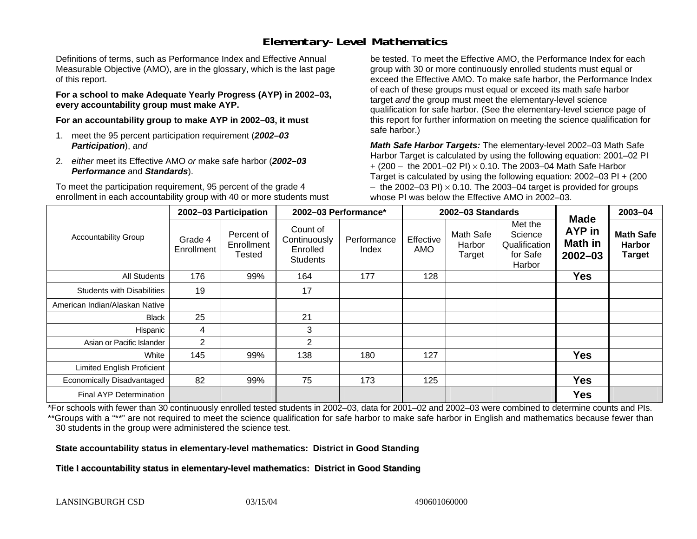## **Elementary-Level Mathematics**

Definitions of terms, such as Performance Index and Effective Annual Measurable Objective (AMO), are in the glossary, which is the last page of this report.

**For a school to make Adequate Yearly Progress (AYP) in 2002–03, every accountability group must make AYP.** 

**For an accountability group to make AYP in 2002–03, it must** 

- 1. meet the 95 percent participation requirement (*2002–03 Participation*), *and*
- 2. *either* meet its Effective AMO *or* make safe harbor (*2002–03 Performance* and *Standards*).

To meet the participation requirement, 95 percent of the grade 4 enrollment in each accountability group with 40 or more students must

be tested. To meet the Effective AMO, the Performance Index for each group with 30 or more continuously enrolled students must equal or exceed the Effective AMO. To make safe harbor, the Performance Index of each of these groups must equal or exceed its math safe harbor target *and* the group must meet the elementary-level science qualification for safe harbor. (See the elementary-level science page of this report for further information on meeting the science qualification for safe harbor.)

*Math Safe Harbor Targets:* The elementary-level 2002–03 Math Safe Harbor Target is calculated by using the following equation: 2001–02 PI + (200 – the 2001–02 PI) × 0.10. The 2003–04 Math Safe Harbor Target is calculated by using the following equation: 2002–03 PI + (200  $-$  the 2002–03 PI)  $\times$  0.10. The 2003–04 target is provided for groups whose PI was below the Effective AMO in 2002–03.

|                                   | 2002-03 Participation |                                    | 2002-03 Performance*                                    |                      | 2002-03 Standards       |                               |                                                           | <b>Made</b>                      | 2003-04                                            |
|-----------------------------------|-----------------------|------------------------------------|---------------------------------------------------------|----------------------|-------------------------|-------------------------------|-----------------------------------------------------------|----------------------------------|----------------------------------------------------|
| <b>Accountability Group</b>       | Grade 4<br>Enrollment | Percent of<br>Enrollment<br>Tested | Count of<br>Continuously<br>Enrolled<br><b>Students</b> | Performance<br>Index | Effective<br><b>AMO</b> | Math Safe<br>Harbor<br>Target | Met the<br>Science<br>Qualification<br>for Safe<br>Harbor | AYP in<br>Math in<br>$2002 - 03$ | <b>Math Safe</b><br><b>Harbor</b><br><b>Target</b> |
| All Students                      | 176                   | 99%                                | 164                                                     | 177                  | 128                     |                               |                                                           | <b>Yes</b>                       |                                                    |
| <b>Students with Disabilities</b> | 19                    |                                    | 17                                                      |                      |                         |                               |                                                           |                                  |                                                    |
| American Indian/Alaskan Native    |                       |                                    |                                                         |                      |                         |                               |                                                           |                                  |                                                    |
| <b>Black</b>                      | 25                    |                                    | 21                                                      |                      |                         |                               |                                                           |                                  |                                                    |
| Hispanic                          | 4                     |                                    | 3                                                       |                      |                         |                               |                                                           |                                  |                                                    |
| Asian or Pacific Islander         | 2                     |                                    | 2                                                       |                      |                         |                               |                                                           |                                  |                                                    |
| White                             | 145                   | 99%                                | 138                                                     | 180                  | 127                     |                               |                                                           | <b>Yes</b>                       |                                                    |
| <b>Limited English Proficient</b> |                       |                                    |                                                         |                      |                         |                               |                                                           |                                  |                                                    |
| Economically Disadvantaged        | 82                    | 99%                                | 75                                                      | 173                  | 125                     |                               |                                                           | <b>Yes</b>                       |                                                    |
| Final AYP Determination           |                       |                                    |                                                         |                      |                         |                               |                                                           | <b>Yes</b>                       |                                                    |

\*For schools with fewer than 30 continuously enrolled tested students in 2002–03, data for 2001–02 and 2002–03 were combined to determine counts and PIs. \*\*Groups with a "\*\*" are not required to meet the science qualification for safe harbor to make safe harbor in English and mathematics because fewer than 30 students in the group were administered the science test.

**State accountability status in elementary-level mathematics: District in Good Standing** 

Title I accountability status in elementary-level mathematics: District in Good Standing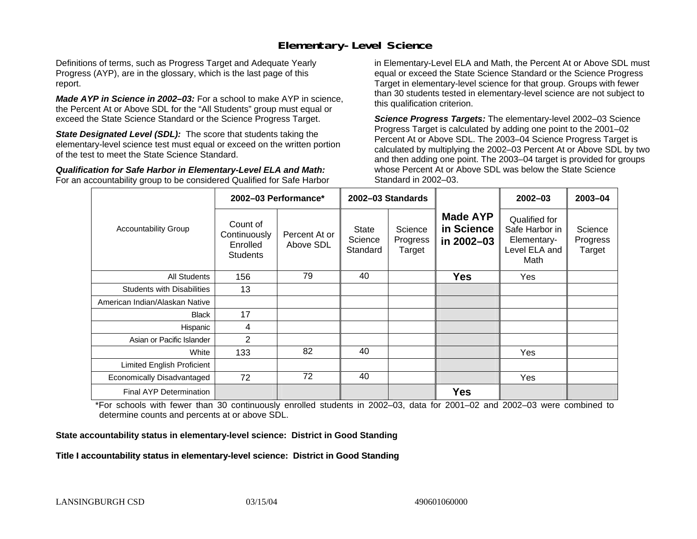#### **Elementary-Level Science**

Definitions of terms, such as Progress Target and Adequate Yearly Progress (AYP), are in the glossary, which is the last page of this report.

*Made AYP in Science in 2002–03:* For a school to make AYP in science, the Percent At or Above SDL for the "All Students" group must equal or exceed the State Science Standard or the Science Progress Target.

**State Designated Level (SDL):** The score that students taking the elementary-level science test must equal or exceed on the written portion of the test to meet the State Science Standard.

*Qualification for Safe Harbor in Elementary-Level ELA and Math:* For an accountability group to be considered Qualified for Safe Harbor in Elementary-Level ELA and Math, the Percent At or Above SDL must equal or exceed the State Science Standard or the Science Progress Target in elementary-level science for that group. Groups with fewer than 30 students tested in elementary-level science are not subject to this qualification criterion.

*Science Progress Targets:* The elementary-level 2002–03 Science Progress Target is calculated by adding one point to the 2001–02 Percent At or Above SDL. The 2003–04 Science Progress Target is calculated by multiplying the 2002–03 Percent At or Above SDL by two and then adding one point. The 2003–04 target is provided for groups whose Percent At or Above SDL was below the State Science Standard in 2002–03.

|                                   |                                                         | 2002-03 Performance*       | 2002-03 Standards            |                               |                                             | $2002 - 03$                                                             | 2003-04                       |
|-----------------------------------|---------------------------------------------------------|----------------------------|------------------------------|-------------------------------|---------------------------------------------|-------------------------------------------------------------------------|-------------------------------|
| <b>Accountability Group</b>       | Count of<br>Continuously<br>Enrolled<br><b>Students</b> | Percent At or<br>Above SDL | State<br>Science<br>Standard | Science<br>Progress<br>Target | <b>Made AYP</b><br>in Science<br>in 2002-03 | Qualified for<br>Safe Harbor in<br>Elementary-<br>Level ELA and<br>Math | Science<br>Progress<br>Target |
| All Students                      | 156                                                     | 79                         | 40                           |                               | <b>Yes</b>                                  | Yes                                                                     |                               |
| <b>Students with Disabilities</b> | 13                                                      |                            |                              |                               |                                             |                                                                         |                               |
| American Indian/Alaskan Native    |                                                         |                            |                              |                               |                                             |                                                                         |                               |
| <b>Black</b>                      | 17                                                      |                            |                              |                               |                                             |                                                                         |                               |
| Hispanic                          | 4                                                       |                            |                              |                               |                                             |                                                                         |                               |
| Asian or Pacific Islander         | 2                                                       |                            |                              |                               |                                             |                                                                         |                               |
| White                             | 133                                                     | 82                         | 40                           |                               |                                             | <b>Yes</b>                                                              |                               |
| Limited English Proficient        |                                                         |                            |                              |                               |                                             |                                                                         |                               |
| Economically Disadvantaged        | 72                                                      | 72                         | 40                           |                               |                                             | Yes                                                                     |                               |
| <b>Final AYP Determination</b>    |                                                         |                            |                              |                               | <b>Yes</b>                                  |                                                                         |                               |

\*For schools with fewer than 30 continuously enrolled students in 2002–03, data for 2001–02 and 2002–03 were combined to determine counts and percents at or above SDL.

#### **State accountability status in elementary-level science: District in Good Standing**

#### Title I accountability status in elementary-level science: District in Good Standing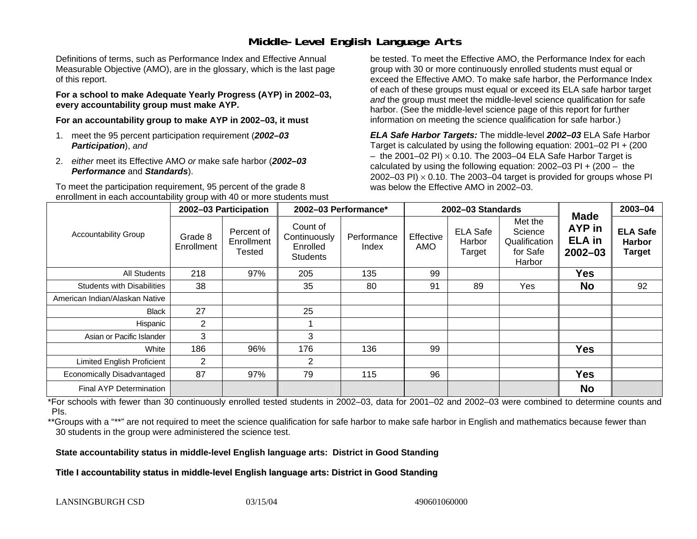### **Middle-Level English Language Arts**

Definitions of terms, such as Performance Index and Effective Annual Measurable Objective (AMO), are in the glossary, which is the last page of this report.

**For a school to make Adequate Yearly Progress (AYP) in 2002–03, every accountability group must make AYP.** 

**For an accountability group to make AYP in 2002–03, it must** 

- 1. meet the 95 percent participation requirement (*2002–03 Participation*), *and*
- 2. *either* meet its Effective AMO *or* make safe harbor (*2002–03 Performance* and *Standards*).

To meet the participation requirement, 95 percent of the grade 8 enrollment in each accountability group with 40 or more students must

be tested. To meet the Effective AMO, the Performance Index for each group with 30 or more continuously enrolled students must equal or exceed the Effective AMO. To make safe harbor, the Performance Index of each of these groups must equal or exceed its ELA safe harbor target *and* the group must meet the middle-level science qualification for safe harbor. (See the middle-level science page of this report for further information on meeting the science qualification for safe harbor.)

*ELA Safe Harbor Targets:* The middle-level *2002–03* ELA Safe Harbor Target is calculated by using the following equation: 2001–02 PI + (200  $-$  the 2001–02 PI)  $\times$  0.10. The 2003–04 ELA Safe Harbor Target is  $\,$ calculated by using the following equation:  $2002-03$  PI +  $(200 -$  the 2002–03 PI)  $\times$  0.10. The 2003–04 target is provided for groups whose PI was below the Effective AMO in 2002–03.

|                                   | 2002-03 Participation |                                    | 2002-03 Performance*                                    |                      |                  | 2002-03 Standards                   |                                                           | 2003-04                                                      |                                                   |
|-----------------------------------|-----------------------|------------------------------------|---------------------------------------------------------|----------------------|------------------|-------------------------------------|-----------------------------------------------------------|--------------------------------------------------------------|---------------------------------------------------|
| <b>Accountability Group</b>       | Grade 8<br>Enrollment | Percent of<br>Enrollment<br>Tested | Count of<br>Continuously<br>Enrolled<br><b>Students</b> | Performance<br>Index | Effective<br>AMO | <b>ELA Safe</b><br>Harbor<br>Target | Met the<br>Science<br>Qualification<br>for Safe<br>Harbor | <b>Made</b><br><b>AYP</b> in<br><b>ELA</b> in<br>$2002 - 03$ | <b>ELA Safe</b><br><b>Harbor</b><br><b>Target</b> |
| <b>All Students</b>               | 218                   | 97%                                | 205                                                     | 135                  | 99               |                                     |                                                           | <b>Yes</b>                                                   |                                                   |
| <b>Students with Disabilities</b> | 38                    |                                    | 35                                                      | 80                   | 91               | 89                                  | Yes                                                       | <b>No</b>                                                    | 92                                                |
| American Indian/Alaskan Native    |                       |                                    |                                                         |                      |                  |                                     |                                                           |                                                              |                                                   |
| <b>Black</b>                      | 27                    |                                    | 25                                                      |                      |                  |                                     |                                                           |                                                              |                                                   |
| Hispanic                          | 2                     |                                    |                                                         |                      |                  |                                     |                                                           |                                                              |                                                   |
| Asian or Pacific Islander         | 3                     |                                    | 3                                                       |                      |                  |                                     |                                                           |                                                              |                                                   |
| White                             | 186                   | 96%                                | 176                                                     | 136                  | 99               |                                     |                                                           | <b>Yes</b>                                                   |                                                   |
| <b>Limited English Proficient</b> | 2                     |                                    | 2                                                       |                      |                  |                                     |                                                           |                                                              |                                                   |
| Economically Disadvantaged        | 87                    | 97%                                | 79                                                      | 115                  | 96               |                                     |                                                           | <b>Yes</b>                                                   |                                                   |
| <b>Final AYP Determination</b>    |                       |                                    |                                                         |                      |                  |                                     |                                                           | <b>No</b>                                                    |                                                   |

\*For schools with fewer than 30 continuously enrolled tested students in 2002–03, data for 2001–02 and 2002–03 were combined to determine counts and PIs.

\*\*Groups with a "\*\*" are not required to meet the science qualification for safe harbor to make safe harbor in English and mathematics because fewer than 30 students in the group were administered the science test.

**State accountability status in middle-level English language arts: District in Good Standing** 

Title I accountability status in middle-level English language arts: District in Good Standing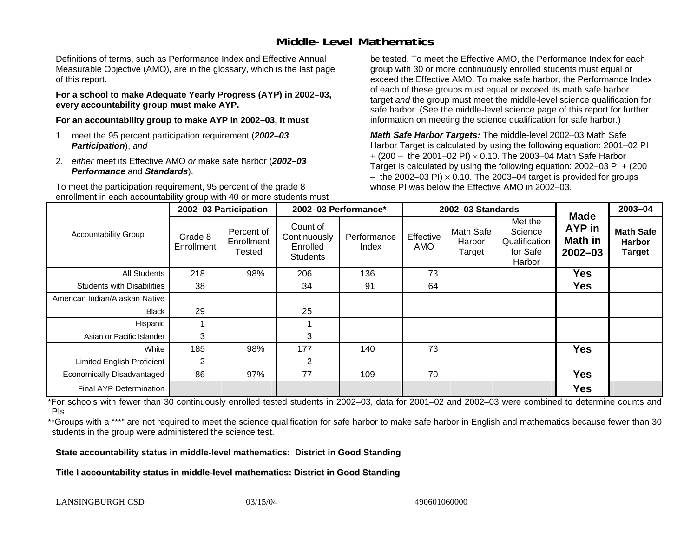### **Middle-Level Mathematics**

Definitions of terms, such as Performance Index and Effective Annual Measurable Objective (AMO), are in the glossary, which is the last page of this report.

**For a school to make Adequate Yearly Progress (AYP) in 2002–03, every accountability group must make AYP.** 

**For an accountability group to make AYP in 2002–03, it must** 

- 1. meet the 95 percent participation requirement (*2002–03 Participation*), *and*
- 2. *either* meet its Effective AMO *or* make safe harbor (*2002–03 Performance* and *Standards*).

To meet the participation requirement, 95 percent of the grade 8 enrollment in each accountability group with 40 or more students must

be tested. To meet the Effective AMO, the Performance Index for each group with 30 or more continuously enrolled students must equal or exceed the Effective AMO. To make safe harbor, the Performance Index of each of these groups must equal or exceed its math safe harbor target *and* the group must meet the middle-level science qualification for safe harbor. (See the middle-level science page of this report for further information on meeting the science qualification for safe harbor.)

*Math Safe Harbor Targets:* The middle-level 2002–03 Math Safe Harbor Target is calculated by using the following equation: 2001–02 PI + (200 – the 2001–02 PI) × 0.10. The 2003–04 Math Safe Harbor Target is calculated by using the following equation: 2002–03 PI + (200  $-$  the 2002–03 PI)  $\times$  0.10. The 2003–04 target is provided for groups whose PI was below the Effective AMO in 2002–03

|                                   | 2002-03 Participation |                                           | 2002-03 Performance*                                    |                      |                         | 2002-03 Standards             |                                                           | 2003-04                                                |                                                    |
|-----------------------------------|-----------------------|-------------------------------------------|---------------------------------------------------------|----------------------|-------------------------|-------------------------------|-----------------------------------------------------------|--------------------------------------------------------|----------------------------------------------------|
| <b>Accountability Group</b>       | Grade 8<br>Enrollment | Percent of<br>Enrollment<br><b>Tested</b> | Count of<br>Continuously<br>Enrolled<br><b>Students</b> | Performance<br>Index | Effective<br><b>AMO</b> | Math Safe<br>Harbor<br>Target | Met the<br>Science<br>Qualification<br>for Safe<br>Harbor | <b>Made</b><br><b>AYP</b> in<br>Math in<br>$2002 - 03$ | <b>Math Safe</b><br><b>Harbor</b><br><b>Target</b> |
| All Students                      | 218                   | 98%                                       | 206                                                     | 136                  | 73                      |                               |                                                           | Yes                                                    |                                                    |
| <b>Students with Disabilities</b> | 38                    |                                           | 34                                                      | 91                   | 64                      |                               |                                                           | <b>Yes</b>                                             |                                                    |
| American Indian/Alaskan Native    |                       |                                           |                                                         |                      |                         |                               |                                                           |                                                        |                                                    |
| <b>Black</b>                      | 29                    |                                           | 25                                                      |                      |                         |                               |                                                           |                                                        |                                                    |
| Hispanic                          |                       |                                           |                                                         |                      |                         |                               |                                                           |                                                        |                                                    |
| Asian or Pacific Islander         | 3                     |                                           | 3                                                       |                      |                         |                               |                                                           |                                                        |                                                    |
| White                             | 185                   | 98%                                       | 177                                                     | 140                  | 73                      |                               |                                                           | <b>Yes</b>                                             |                                                    |
| <b>Limited English Proficient</b> | 2                     |                                           | 2                                                       |                      |                         |                               |                                                           |                                                        |                                                    |
| Economically Disadvantaged        | 86                    | 97%                                       | 77                                                      | 109                  | 70                      |                               |                                                           | <b>Yes</b>                                             |                                                    |
| Final AYP Determination           |                       |                                           |                                                         |                      |                         |                               |                                                           | <b>Yes</b>                                             |                                                    |

\*For schools with fewer than 30 continuously enrolled tested students in 2002–03, data for 2001–02 and 2002–03 were combined to determine counts and PIs.

\*\*Groups with a "\*\*" are not required to meet the science qualification for safe harbor to make safe harbor in English and mathematics because fewer than 30 students in the group were administered the science test.

**State accountability status in middle-level mathematics: District in Good Standing** 

Title I accountability status in middle-level mathematics: District in Good Standing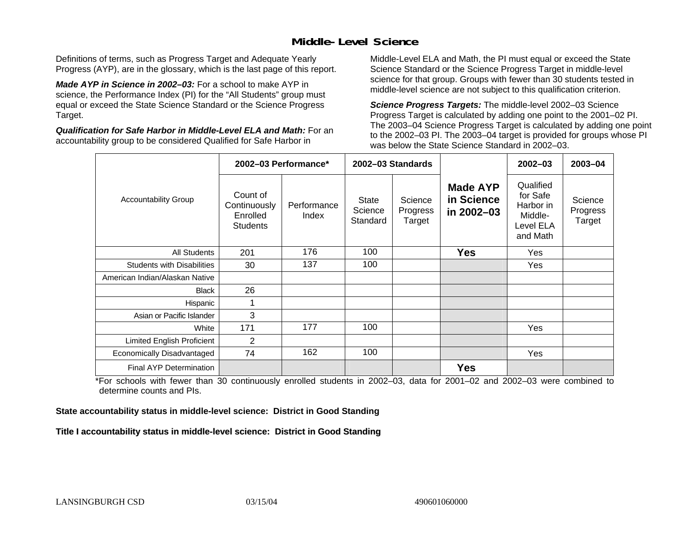### **Middle-Level Science**

Definitions of terms, such as Progress Target and Adequate Yearly Progress (AYP), are in the glossary, which is the last page of this report.

*Made AYP in Science in 2002–03:* For a school to make AYP in science, the Performance Index (PI) for the "All Students" group must equal or exceed the State Science Standard or the Science Progress Target.

*Qualification for Safe Harbor in Middle-Level ELA and Math:* For an accountability group to be considered Qualified for Safe Harbor in

Middle-Level ELA and Math, the PI must equal or exceed the State Science Standard or the Science Progress Target in middle-level science for that group. Groups with fewer than 30 students tested in middle-level science are not subject to this qualification criterion.

*Science Progress Targets:* The middle-level 2002–03 Science Progress Target is calculated by adding one point to the 2001–02 PI. The 2003–04 Science Progress Target is calculated by adding one point to the 2002–03 PI. The 2003–04 target is provided for groups whose PI was below the State Science Standard in 2002–03.

|                                   | 2002-03 Performance*                                    |                      |                              | 2002-03 Standards             |                                             | $2002 - 03$                                                            | $2003 - 04$                   |
|-----------------------------------|---------------------------------------------------------|----------------------|------------------------------|-------------------------------|---------------------------------------------|------------------------------------------------------------------------|-------------------------------|
| <b>Accountability Group</b>       | Count of<br>Continuously<br>Enrolled<br><b>Students</b> | Performance<br>Index | State<br>Science<br>Standard | Science<br>Progress<br>Target | <b>Made AYP</b><br>in Science<br>in 2002-03 | Qualified<br>for Safe<br>Harbor in<br>Middle-<br>Level ELA<br>and Math | Science<br>Progress<br>Target |
| <b>All Students</b>               | 201                                                     | 176                  | 100                          |                               | <b>Yes</b>                                  | Yes                                                                    |                               |
| <b>Students with Disabilities</b> | 30                                                      | 137                  | 100                          |                               |                                             | Yes                                                                    |                               |
| American Indian/Alaskan Native    |                                                         |                      |                              |                               |                                             |                                                                        |                               |
| <b>Black</b>                      | 26                                                      |                      |                              |                               |                                             |                                                                        |                               |
| Hispanic                          | 1                                                       |                      |                              |                               |                                             |                                                                        |                               |
| Asian or Pacific Islander         | 3                                                       |                      |                              |                               |                                             |                                                                        |                               |
| White                             | 171                                                     | 177                  | 100                          |                               |                                             | Yes                                                                    |                               |
| <b>Limited English Proficient</b> | 2                                                       |                      |                              |                               |                                             |                                                                        |                               |
| Economically Disadvantaged        | 74                                                      | 162                  | 100                          |                               |                                             | Yes                                                                    |                               |
| <b>Final AYP Determination</b>    |                                                         |                      |                              |                               | <b>Yes</b>                                  |                                                                        |                               |

\*For schools with fewer than 30 continuously enrolled students in 2002–03, data for 2001–02 and 2002–03 were combined to determine counts and PIs.

**State accountability status in middle-level science: District in Good Standing** 

Title I accountability status in middle-level science: District in Good Standing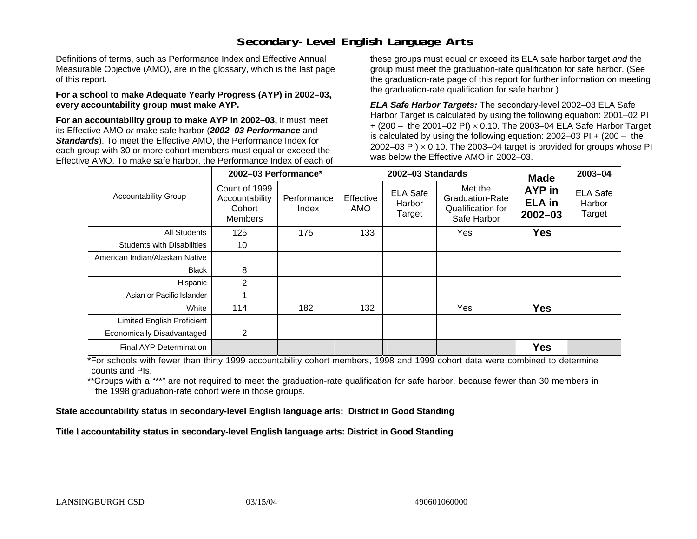### **Secondary-Level English Language Arts**

Definitions of terms, such as Performance Index and Effective Annual Measurable Objective (AMO), are in the glossary, which is the last page of this report.

#### **For a school to make Adequate Yearly Progress (AYP) in 2002–03, every accountability group must make AYP.**

**For an accountability group to make AYP in 2002–03,** it must meet its Effective AMO *or* make safe harbor (*2002–03 Performance* and *Standards*). To meet the Effective AMO, the Performance Index for each group with 30 or more cohort members must equal or exceed the Effective AMO. To make safe harbor, the Performance Index of each of these groups must equal or exceed its ELA safe harbor target *and* the group must meet the graduation-rate qualification for safe harbor. (See the graduation-rate page of this report for further information on meeting the graduation-rate qualification for safe harbor.)

*ELA Safe Harbor Targets:* The secondary-level 2002–03 ELA Safe Harbor Target is calculated by using the following equation: 2001–02 PI + (200 – the 2001–02 PI) <sup>×</sup> 0.10. The 2003–04 ELA Safe Harbor Target is calculated by using the following equation: 2002–03 PI + (200 – the 2002–03 PI)  $\times$  0.10. The 2003–04 target is provided for groups whose PI was below the Effective AMO in 2002–03.

|                                   | 2002-03 Performance*                                        |                      |                  | 2002-03 Standards                   | <b>Made</b>                                                           | 2003-04                                |                                     |
|-----------------------------------|-------------------------------------------------------------|----------------------|------------------|-------------------------------------|-----------------------------------------------------------------------|----------------------------------------|-------------------------------------|
| <b>Accountability Group</b>       | Count of 1999<br>Accountability<br>Cohort<br><b>Members</b> | Performance<br>Index | Effective<br>AMO | <b>ELA Safe</b><br>Harbor<br>Target | Met the<br><b>Graduation-Rate</b><br>Qualification for<br>Safe Harbor | AYP in<br><b>ELA</b> in<br>$2002 - 03$ | <b>ELA Safe</b><br>Harbor<br>Target |
| <b>All Students</b>               | 125                                                         | 175                  | 133              |                                     | Yes                                                                   | <b>Yes</b>                             |                                     |
| <b>Students with Disabilities</b> | 10                                                          |                      |                  |                                     |                                                                       |                                        |                                     |
| American Indian/Alaskan Native    |                                                             |                      |                  |                                     |                                                                       |                                        |                                     |
| <b>Black</b>                      | 8                                                           |                      |                  |                                     |                                                                       |                                        |                                     |
| Hispanic                          | 2                                                           |                      |                  |                                     |                                                                       |                                        |                                     |
| Asian or Pacific Islander         |                                                             |                      |                  |                                     |                                                                       |                                        |                                     |
| White                             | 114                                                         | 182                  | 132              |                                     | Yes                                                                   | <b>Yes</b>                             |                                     |
| Limited English Proficient        |                                                             |                      |                  |                                     |                                                                       |                                        |                                     |
| Economically Disadvantaged        | 2                                                           |                      |                  |                                     |                                                                       |                                        |                                     |
| Final AYP Determination           |                                                             |                      |                  |                                     |                                                                       | <b>Yes</b>                             |                                     |

\*For schools with fewer than thirty 1999 accountability cohort members, 1998 and 1999 cohort data were combined to determine counts and PIs.

\*\*Groups with a "\*\*" are not required to meet the graduation-rate qualification for safe harbor, because fewer than 30 members in the 1998 graduation-rate cohort were in those groups.

**State accountability status in secondary-level English language arts: District in Good Standing** 

Title I accountability status in secondary-level English language arts: District in Good Standing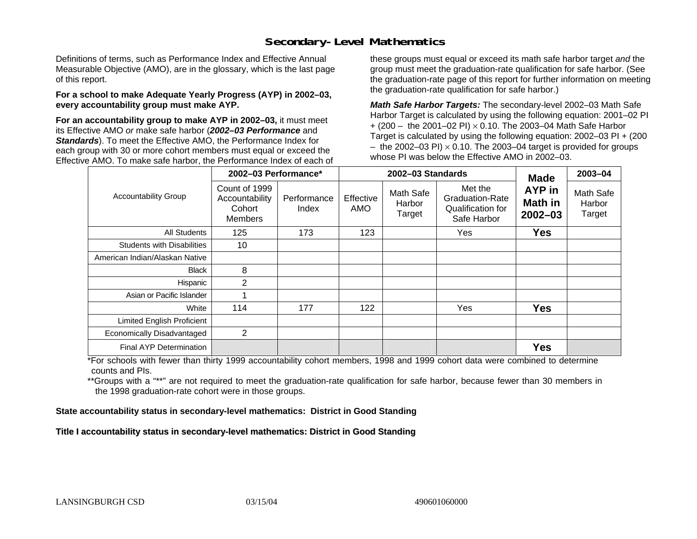### **Secondary-Level Mathematics**

Definitions of terms, such as Performance Index and Effective Annual Measurable Objective (AMO), are in the glossary, which is the last page of this report.

#### **For a school to make Adequate Yearly Progress (AYP) in 2002–03, every accountability group must make AYP.**

**For an accountability group to make AYP in 2002–03,** it must meet its Effective AMO *or* make safe harbor (*2002–03 Performance* and *Standards*). To meet the Effective AMO, the Performance Index for each group with 30 or more cohort members must equal or exceed the Effective AMO. To make safe harbor, the Performance Index of each of these groups must equal or exceed its math safe harbor target *and* the group must meet the graduation-rate qualification for safe harbor. (See the graduation-rate page of this report for further information on meeting the graduation-rate qualification for safe harbor.)

*Math Safe Harbor Targets:* The secondary-level 2002–03 Math Safe Harbor Target is calculated by using the following equation: 2001–02 PI + (200 – the 2001–02 PI) × 0.10. The 2003–04 Math Safe Harbor Target is calculated by using the following equation: 2002–03 PI + (200  $-$  the 2002–03 PI)  $\times$  0.10. The 2003–04 target is provided for groups whose PI was below the Effective AMO in 2002–03.

|                                   | 2002-03 Performance*                                        |                      |                  | 2002-03 Standards             | <b>Made</b>                                                           | 2003-04                          |                               |
|-----------------------------------|-------------------------------------------------------------|----------------------|------------------|-------------------------------|-----------------------------------------------------------------------|----------------------------------|-------------------------------|
| <b>Accountability Group</b>       | Count of 1999<br>Accountability<br>Cohort<br><b>Members</b> | Performance<br>Index | Effective<br>AMO | Math Safe<br>Harbor<br>Target | Met the<br><b>Graduation-Rate</b><br>Qualification for<br>Safe Harbor | AYP in<br>Math in<br>$2002 - 03$ | Math Safe<br>Harbor<br>Target |
| All Students                      | 125                                                         | 173                  | 123              |                               | Yes                                                                   | <b>Yes</b>                       |                               |
| <b>Students with Disabilities</b> | 10                                                          |                      |                  |                               |                                                                       |                                  |                               |
| American Indian/Alaskan Native    |                                                             |                      |                  |                               |                                                                       |                                  |                               |
| <b>Black</b>                      | 8                                                           |                      |                  |                               |                                                                       |                                  |                               |
| Hispanic                          | 2                                                           |                      |                  |                               |                                                                       |                                  |                               |
| Asian or Pacific Islander         |                                                             |                      |                  |                               |                                                                       |                                  |                               |
| White                             | 114                                                         | 177                  | 122              |                               | Yes                                                                   | <b>Yes</b>                       |                               |
| <b>Limited English Proficient</b> |                                                             |                      |                  |                               |                                                                       |                                  |                               |
| Economically Disadvantaged        | 2                                                           |                      |                  |                               |                                                                       |                                  |                               |
| <b>Final AYP Determination</b>    |                                                             |                      |                  |                               |                                                                       | <b>Yes</b>                       |                               |

\*For schools with fewer than thirty 1999 accountability cohort members, 1998 and 1999 cohort data were combined to determine counts and PIs.

\*\*Groups with a "\*\*" are not required to meet the graduation-rate qualification for safe harbor, because fewer than 30 members in the 1998 graduation-rate cohort were in those groups.

**State accountability status in secondary-level mathematics: District in Good Standing** 

Title I accountability status in secondary-level mathematics: District in Good Standing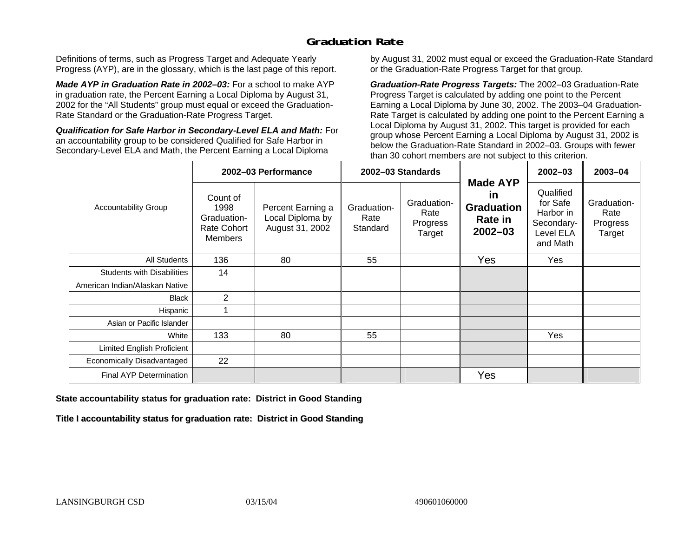## **Graduation Rate**

Definitions of terms, such as Progress Target and Adequate Yearly Progress (AYP), are in the glossary, which is the last page of this report.

*Made AYP in Graduation Rate in 2002–03:* For a school to make AYP in graduation rate, the Percent Earning a Local Diploma by August 31, 2002 for the "All Students" group must equal or exceed the Graduation-Rate Standard or the Graduation-Rate Progress Target.

*Qualification for Safe Harbor in Secondary-Level ELA and Math:* For an accountability group to be considered Qualified for Safe Harbor in Secondary-Level ELA and Math, the Percent Earning a Local Diploma

by August 31, 2002 must equal or exceed the Graduation-Rate Standard or the Graduation-Rate Progress Target for that group.

*Graduation-Rate Progress Targets:* The 2002–03 Graduation-Rate Progress Target is calculated by adding one point to the Percent Earning a Local Diploma by June 30, 2002. The 2003–04 Graduation-Rate Target is calculated by adding one point to the Percent Earning a Local Diploma by August 31, 2002. This target is provided for each group whose Percent Earning a Local Diploma by August 31, 2002 is below the Graduation-Rate Standard in 2002–03. Groups with fewer than 30 cohort members are not subject to this criterion.

|                                   |                                                                         | 2002-03 Performance                                      |                                 | 2002-03 Standards                         |                                                                             | $2002 - 03$                                                               | 2003-04                                   |
|-----------------------------------|-------------------------------------------------------------------------|----------------------------------------------------------|---------------------------------|-------------------------------------------|-----------------------------------------------------------------------------|---------------------------------------------------------------------------|-------------------------------------------|
| <b>Accountability Group</b>       | Count of<br>1998<br>Graduation-<br><b>Rate Cohort</b><br><b>Members</b> | Percent Earning a<br>Local Diploma by<br>August 31, 2002 | Graduation-<br>Rate<br>Standard | Graduation-<br>Rate<br>Progress<br>Target | <b>Made AYP</b><br>in<br><b>Graduation</b><br><b>Rate in</b><br>$2002 - 03$ | Qualified<br>for Safe<br>Harbor in<br>Secondary-<br>Level ELA<br>and Math | Graduation-<br>Rate<br>Progress<br>Target |
| All Students                      | 136                                                                     | 80                                                       | 55                              |                                           | Yes                                                                         | Yes                                                                       |                                           |
| <b>Students with Disabilities</b> | 14                                                                      |                                                          |                                 |                                           |                                                                             |                                                                           |                                           |
| American Indian/Alaskan Native    |                                                                         |                                                          |                                 |                                           |                                                                             |                                                                           |                                           |
| <b>Black</b>                      | $\overline{2}$                                                          |                                                          |                                 |                                           |                                                                             |                                                                           |                                           |
| Hispanic                          |                                                                         |                                                          |                                 |                                           |                                                                             |                                                                           |                                           |
| Asian or Pacific Islander         |                                                                         |                                                          |                                 |                                           |                                                                             |                                                                           |                                           |
| White                             | 133                                                                     | 80                                                       | 55                              |                                           |                                                                             | Yes                                                                       |                                           |
| Limited English Proficient        |                                                                         |                                                          |                                 |                                           |                                                                             |                                                                           |                                           |
| Economically Disadvantaged        | 22                                                                      |                                                          |                                 |                                           |                                                                             |                                                                           |                                           |
| <b>Final AYP Determination</b>    |                                                                         |                                                          |                                 |                                           | Yes                                                                         |                                                                           |                                           |

#### **State accountability status for graduation rate: District in Good Standing**

Title I accountability status for graduation rate: District in Good Standing